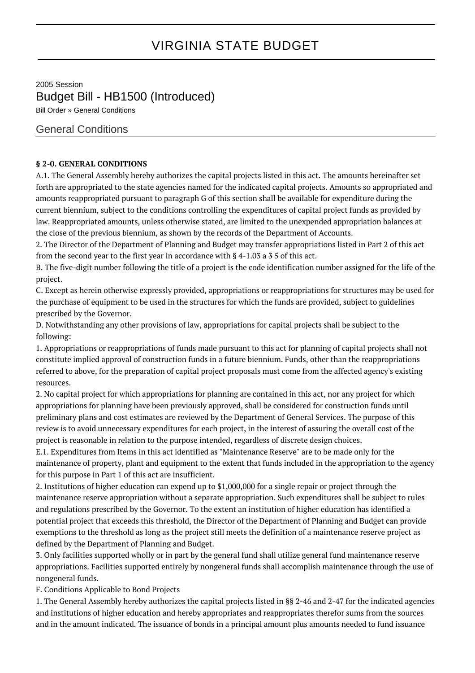## VIRGINIA STATE BUDGET

2005 Session Budget Bill - HB1500 (Introduced) Bill Order » General Conditions

## General Conditions

## **§ 2-0. GENERAL CONDITIONS**

A.1. The General Assembly hereby authorizes the capital projects listed in this act. The amounts hereinafter set forth are appropriated to the state agencies named for the indicated capital projects. Amounts so appropriated and amounts reappropriated pursuant to paragraph G of this section shall be available for expenditure during the current biennium, subject to the conditions controlling the expenditures of capital project funds as provided by law. Reappropriated amounts, unless otherwise stated, are limited to the unexpended appropriation balances at the close of the previous biennium, as shown by the records of the Department of Accounts.

2. The Director of the Department of Planning and Budget may transfer appropriations listed in Part 2 of this act from the second year to the first year in accordance with § 4-1.03 a 3 5 of this act.

B. The five-digit number following the title of a project is the code identification number assigned for the life of the project.

C. Except as herein otherwise expressly provided, appropriations or reappropriations for structures may be used for the purchase of equipment to be used in the structures for which the funds are provided, subject to guidelines prescribed by the Governor.

D. Notwithstanding any other provisions of law, appropriations for capital projects shall be subject to the following:

1. Appropriations or reappropriations of funds made pursuant to this act for planning of capital projects shall not constitute implied approval of construction funds in a future biennium. Funds, other than the reappropriations referred to above, for the preparation of capital project proposals must come from the affected agency's existing resources.

2. No capital project for which appropriations for planning are contained in this act, nor any project for which appropriations for planning have been previously approved, shall be considered for construction funds until preliminary plans and cost estimates are reviewed by the Department of General Services. The purpose of this review is to avoid unnecessary expenditures for each project, in the interest of assuring the overall cost of the project is reasonable in relation to the purpose intended, regardless of discrete design choices.

E.1. Expenditures from Items in this act identified as "Maintenance Reserve" are to be made only for the maintenance of property, plant and equipment to the extent that funds included in the appropriation to the agency for this purpose in Part 1 of this act are insufficient.

2. Institutions of higher education can expend up to \$1,000,000 for a single repair or project through the maintenance reserve appropriation without a separate appropriation. Such expenditures shall be subject to rules and regulations prescribed by the Governor. To the extent an institution of higher education has identified a potential project that exceeds this threshold, the Director of the Department of Planning and Budget can provide exemptions to the threshold as long as the project still meets the definition of a maintenance reserve project as defined by the Department of Planning and Budget.

3. Only facilities supported wholly or in part by the general fund shall utilize general fund maintenance reserve appropriations. Facilities supported entirely by nongeneral funds shall accomplish maintenance through the use of nongeneral funds.

F. Conditions Applicable to Bond Projects

1. The General Assembly hereby authorizes the capital projects listed in §§ 2-46 and 2-47 for the indicated agencies and institutions of higher education and hereby appropriates and reappropriates therefor sums from the sources and in the amount indicated. The issuance of bonds in a principal amount plus amounts needed to fund issuance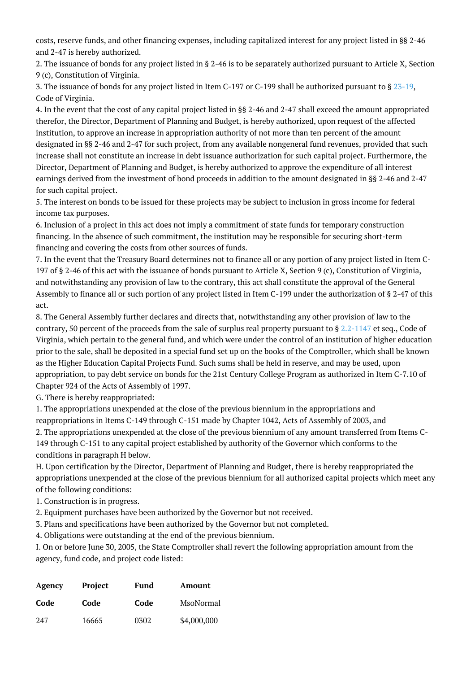costs, reserve funds, and other financing expenses, including capitalized interest for any project listed in §§ 2-46 and 2-47 is hereby authorized.

2. The issuance of bonds for any project listed in § 2-46 is to be separately authorized pursuant to Article X, Section 9 (c), Constitution of Virginia.

3. The issuance of bonds for any project listed in Item C-197 or C-199 shall be authorized pursuant to § [23-19,](http://law.lis.virginia.gov/vacode/23-19/) Code of Virginia.

4. In the event that the cost of any capital project listed in §§ 2-46 and 2-47 shall exceed the amount appropriated therefor, the Director, Department of Planning and Budget, is hereby authorized, upon request of the affected institution, to approve an increase in appropriation authority of not more than ten percent of the amount designated in §§ 2-46 and 2-47 for such project, from any available nongeneral fund revenues, provided that such increase shall not constitute an increase in debt issuance authorization for such capital project. Furthermore, the Director, Department of Planning and Budget, is hereby authorized to approve the expenditure of all interest earnings derived from the investment of bond proceeds in addition to the amount designated in §§ 2-46 and 2-47 for such capital project.

5. The interest on bonds to be issued for these projects may be subject to inclusion in gross income for federal income tax purposes.

6. Inclusion of a project in this act does not imply a commitment of state funds for temporary construction financing. In the absence of such commitment, the institution may be responsible for securing short-term financing and covering the costs from other sources of funds.

7. In the event that the Treasury Board determines not to finance all or any portion of any project listed in Item C-197 of § 2-46 of this act with the issuance of bonds pursuant to Article X, Section 9 (c), Constitution of Virginia, and notwithstanding any provision of law to the contrary, this act shall constitute the approval of the General Assembly to finance all or such portion of any project listed in Item C-199 under the authorization of § 2-47 of this act.

8. The General Assembly further declares and directs that, notwithstanding any other provision of law to the contrary, 50 percent of the proceeds from the sale of surplus real property pursuant to  $\S 2.2$ -1147 et seq., Code of Virginia, which pertain to the general fund, and which were under the control of an institution of higher education prior to the sale, shall be deposited in a special fund set up on the books of the Comptroller, which shall be known as the Higher Education Capital Projects Fund. Such sums shall be held in reserve, and may be used, upon appropriation, to pay debt service on bonds for the 21st Century College Program as authorized in Item C-7.10 of Chapter 924 of the Acts of Assembly of 1997.

G. There is hereby reappropriated:

1. The appropriations unexpended at the close of the previous biennium in the appropriations and reappropriations in Items C-149 through C-151 made by Chapter 1042, Acts of Assembly of 2003, and

2. The appropriations unexpended at the close of the previous biennium of any amount transferred from Items C-149 through C-151 to any capital project established by authority of the Governor which conforms to the conditions in paragraph H below.

H. Upon certification by the Director, Department of Planning and Budget, there is hereby reappropriated the appropriations unexpended at the close of the previous biennium for all authorized capital projects which meet any of the following conditions:

- 1. Construction is in progress.
- 2. Equipment purchases have been authorized by the Governor but not received.
- 3. Plans and specifications have been authorized by the Governor but not completed.
- 4. Obligations were outstanding at the end of the previous biennium.

I. On or before June 30, 2005, the State Comptroller shall revert the following appropriation amount from the agency, fund code, and project code listed:

| Agency | Project | Fund | Amount      |
|--------|---------|------|-------------|
| Code   | Code    | Code | MsoNormal   |
| 247    | 16665   | 0302 | \$4,000,000 |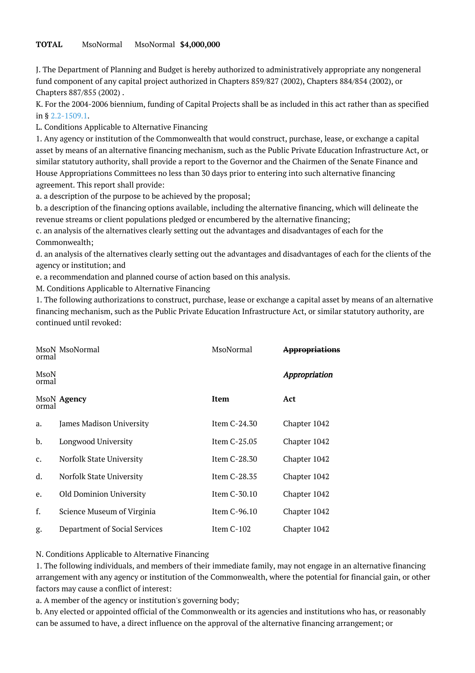## **TOTAL** MsoNormal MsoNormal **\$4,000,000**

J. The Department of Planning and Budget is hereby authorized to administratively appropriate any nongeneral fund component of any capital project authorized in Chapters 859/827 (2002), Chapters 884/854 (2002), or Chapters 887/855 (2002) .

K. For the 2004-2006 biennium, funding of Capital Projects shall be as included in this act rather than as specified in § [2.2-1509.1.](http://law.lis.virginia.gov/vacode/2.2-1509.1/)

L. Conditions Applicable to Alternative Financing

1. Any agency or institution of the Commonwealth that would construct, purchase, lease, or exchange a capital asset by means of an alternative financing mechanism, such as the Public Private Education Infrastructure Act, or similar statutory authority, shall provide a report to the Governor and the Chairmen of the Senate Finance and House Appropriations Committees no less than 30 days prior to entering into such alternative financing agreement. This report shall provide:

a. a description of the purpose to be achieved by the proposal;

b. a description of the financing options available, including the alternative financing, which will delineate the revenue streams or client populations pledged or encumbered by the alternative financing;

c. an analysis of the alternatives clearly setting out the advantages and disadvantages of each for the Commonwealth;

d. an analysis of the alternatives clearly setting out the advantages and disadvantages of each for the clients of the agency or institution; and

e. a recommendation and planned course of action based on this analysis.

M. Conditions Applicable to Alternative Financing

1. The following authorizations to construct, purchase, lease or exchange a capital asset by means of an alternative financing mechanism, such as the Public Private Education Infrastructure Act, or similar statutory authority, are continued until revoked:

| ormal         | MsoN MsoNormal                | MsoNormal    | <del>Appropriations</del> |
|---------------|-------------------------------|--------------|---------------------------|
| MsoN<br>ormal |                               |              | Appropriation             |
| ormal         | MsoN Agency                   | Item         | Act                       |
| a.            | James Madison University      | Item C-24.30 | Chapter 1042              |
| b.            | Longwood University           | Item C-25.05 | Chapter 1042              |
| c.            | Norfolk State University      | Item C-28.30 | Chapter 1042              |
| d.            | Norfolk State University      | Item C-28.35 | Chapter 1042              |
| e.            | Old Dominion University       | Item C-30.10 | Chapter 1042              |
| f.            | Science Museum of Virginia    | Item C-96.10 | Chapter 1042              |
| g.            | Department of Social Services | Item C-102   | Chapter 1042              |

N. Conditions Applicable to Alternative Financing

1. The following individuals, and members of their immediate family, may not engage in an alternative financing arrangement with any agency or institution of the Commonwealth, where the potential for financial gain, or other factors may cause a conflict of interest:

a. A member of the agency or institution's governing body;

b. Any elected or appointed official of the Commonwealth or its agencies and institutions who has, or reasonably can be assumed to have, a direct influence on the approval of the alternative financing arrangement; or